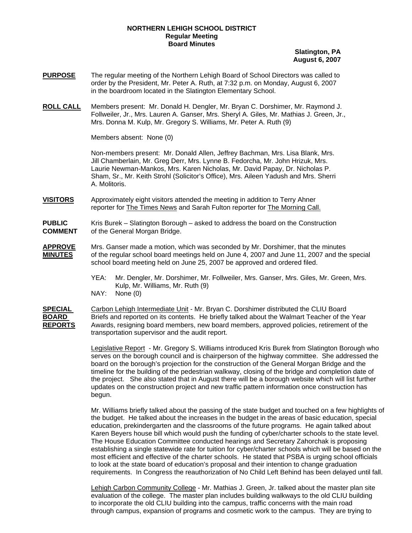## **NORTHERN LEHIGH SCHOOL DISTRICT Regular Meeting Board Minutes**

## **Slatington, PA August 6, 2007**

- **PURPOSE** The regular meeting of the Northern Lehigh Board of School Directors was called to order by the President, Mr. Peter A. Ruth, at 7:32 p.m. on Monday, August 6, 2007 in the boardroom located in the Slatington Elementary School.
- **ROLL CALL** Members present: Mr. Donald H. Dengler, Mr. Bryan C. Dorshimer, Mr. Raymond J. Follweiler, Jr., Mrs. Lauren A. Ganser, Mrs. Sheryl A. Giles, Mr. Mathias J. Green, Jr., Mrs. Donna M. Kulp, Mr. Gregory S. Williams, Mr. Peter A. Ruth (9)

Members absent: None (0)

Non-members present: Mr. Donald Allen, Jeffrey Bachman, Mrs. Lisa Blank, Mrs. Jill Chamberlain, Mr. Greg Derr, Mrs. Lynne B. Fedorcha, Mr. John Hrizuk, Mrs. Laurie Newman-Mankos, Mrs. Karen Nicholas, Mr. David Papay, Dr. Nicholas P. Sham, Sr., Mr. Keith Strohl (Solicitor's Office), Mrs. Aileen Yadush and Mrs. Sherri A. Molitoris.

**VISITORS** Approximately eight visitors attended the meeting in addition to Terry Ahner reporter for The Times News and Sarah Fulton reporter for The Morning Call.

**PUBLIC** Kris Burek – Slatington Borough – asked to address the board on the Construction **COMMENT** of the General Morgan Bridge.

- **APPROVE** Mrs. Ganser made a motion, which was seconded by Mr. Dorshimer, that the minutes **MINUTES** of the regular school board meetings held on June 4, 2007 and June 11, 2007 and the special school board meeting held on June 25, 2007 be approved and ordered filed.
	- YEA: Mr. Dengler, Mr. Dorshimer, Mr. Follweiler, Mrs. Ganser, Mrs. Giles, Mr. Green, Mrs. Kulp, Mr. Williams, Mr. Ruth (9) NAY: None (0)

**SPECIAL** Carbon Lehigh Intermediate Unit - Mr. Bryan C. Dorshimer distributed the CLIU Board **BOARD** Briefs and reported on its contents. He briefly talked about the Walmart Teacher of the Year **REPORTS** Awards, resigning board members, new board members, approved policies, retirement of the transportation supervisor and the audit report.

> Legislative Report - Mr. Gregory S. Williams introduced Kris Burek from Slatington Borough who serves on the borough council and is chairperson of the highway committee. She addressed the board on the borough's projection for the construction of the General Morgan Bridge and the timeline for the building of the pedestrian walkway, closing of the bridge and completion date of the project. She also stated that in August there will be a borough website which will list further updates on the construction project and new traffic pattern information once construction has begun.

Mr. Williams briefly talked about the passing of the state budget and touched on a few highlights of the budget. He talked about the increases in the budget in the areas of basic education, special education, prekindergarten and the classrooms of the future programs. He again talked about Karen Beyers house bill which would push the funding of cyber/charter schools to the state level. The House Education Committee conducted hearings and Secretary Zahorchak is proposing establishing a single statewide rate for tuition for cyber/charter schools which will be based on the most efficient and effective of the charter schools. He stated that PSBA is urging school officials to look at the state board of education's proposal and their intention to change graduation requirements. In Congress the reauthorization of No Child Left Behind has been delayed until fall.

Lehigh Carbon Community College - Mr. Mathias J. Green, Jr. talked about the master plan site evaluation of the college. The master plan includes building walkways to the old CLIU building to incorporate the old CLIU building into the campus, traffic concerns with the main road through campus, expansion of programs and cosmetic work to the campus. They are trying to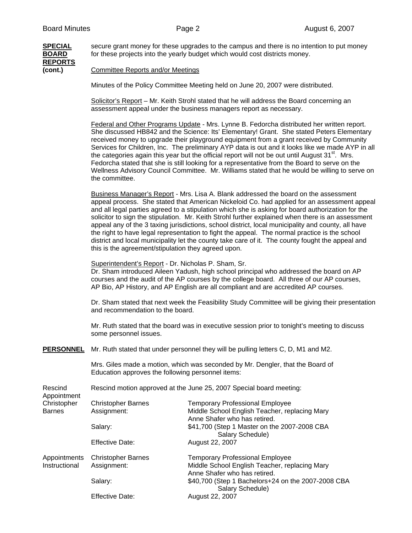# **REPORTS**

**SPECIAL** secure grant money for these upgrades to the campus and there is no intention to put money **BOARD** for these projects into the yearly budget which would cost districts money.

**(cont.)** Committee Reports and/or Meetings

Minutes of the Policy Committee Meeting held on June 20, 2007 were distributed.

Solicitor's Report – Mr. Keith Strohl stated that he will address the Board concerning an assessment appeal under the business managers report as necessary.

Federal and Other Programs Update - Mrs. Lynne B. Fedorcha distributed her written report. She discussed HB842 and the Science: Its' Elementary! Grant. She stated Peters Elementary received money to upgrade their playground equipment from a grant received by Community Services for Children, Inc. The preliminary AYP data is out and it looks like we made AYP in all the categories again this year but the official report will not be out until August  $31<sup>st</sup>$ . Mrs. Fedorcha stated that she is still looking for a representative from the Board to serve on the Wellness Advisory Council Committee. Mr. Williams stated that he would be willing to serve on the committee.

Business Manager's Report - Mrs. Lisa A. Blank addressed the board on the assessment appeal process. She stated that American Nickeloid Co. had applied for an assessment appeal and all legal parties agreed to a stipulation which she is asking for board authorization for the solicitor to sign the stipulation. Mr. Keith Strohl further explained when there is an assessment appeal any of the 3 taxing jurisdictions, school district, local municipality and county, all have the right to have legal representation to fight the appeal. The normal practice is the school district and local municipality let the county take care of it. The county fought the appeal and this is the agreement/stipulation they agreed upon.

Superintendent's Report - Dr. Nicholas P. Sham, Sr.

Dr. Sham introduced Aileen Yadush, high school principal who addressed the board on AP courses and the audit of the AP courses by the college board. All three of our AP courses, AP Bio, AP History, and AP English are all compliant and are accredited AP courses.

Dr. Sham stated that next week the Feasibility Study Committee will be giving their presentation and recommendation to the board.

Mr. Ruth stated that the board was in executive session prior to tonight's meeting to discuss some personnel issues.

**PERSONNEL** Mr. Ruth stated that under personnel they will be pulling letters C, D, M1 and M2.

 Mrs. Giles made a motion, which was seconded by Mr. Dengler, that the Board of Education approves the following personnel items:

| Rescind<br>Appointment | Rescind motion approved at the June 25, 2007 Special board meeting: |                                                                               |  |
|------------------------|---------------------------------------------------------------------|-------------------------------------------------------------------------------|--|
| Christopher            | <b>Christopher Barnes</b>                                           | <b>Temporary Professional Employee</b>                                        |  |
| <b>Barnes</b>          | Assignment:                                                         | Middle School English Teacher, replacing Mary<br>Anne Shafer who has retired. |  |
|                        | Salary:                                                             | \$41,700 (Step 1 Master on the 2007-2008 CBA<br>Salary Schedule)              |  |
|                        | <b>Effective Date:</b>                                              | August 22, 2007                                                               |  |
| Appointments           | <b>Christopher Barnes</b>                                           | <b>Temporary Professional Employee</b>                                        |  |
| Instructional          | Assignment:                                                         | Middle School English Teacher, replacing Mary<br>Anne Shafer who has retired. |  |
|                        | Salary:                                                             | \$40,700 (Step 1 Bachelors+24 on the 2007-2008 CBA<br>Salary Schedule)        |  |
|                        | <b>Effective Date:</b>                                              | August 22, 2007                                                               |  |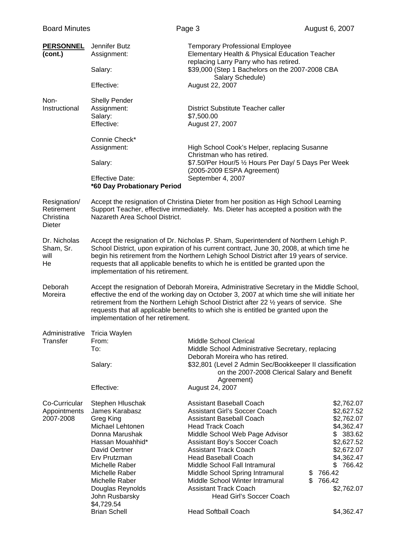| <b>PERSONNEL</b><br>(cont.)                       | Jennifer Butz<br>Assignment:<br>Salary:                                                                                                                                                                                                                                                                                                                                                                 | <b>Temporary Professional Employee</b><br>Elementary Health & Physical Education Teacher<br>replacing Larry Parry who has retired.<br>\$39,000 (Step 1 Bachelors on the 2007-2008 CBA                                                                                                                                                                                                                                                                                  |                                                                                                                                                                                        |
|---------------------------------------------------|---------------------------------------------------------------------------------------------------------------------------------------------------------------------------------------------------------------------------------------------------------------------------------------------------------------------------------------------------------------------------------------------------------|------------------------------------------------------------------------------------------------------------------------------------------------------------------------------------------------------------------------------------------------------------------------------------------------------------------------------------------------------------------------------------------------------------------------------------------------------------------------|----------------------------------------------------------------------------------------------------------------------------------------------------------------------------------------|
|                                                   | Effective:                                                                                                                                                                                                                                                                                                                                                                                              | Salary Schedule)<br>August 22, 2007                                                                                                                                                                                                                                                                                                                                                                                                                                    |                                                                                                                                                                                        |
| Non-<br>Instructional                             | <b>Shelly Pender</b><br>Assignment:<br>Salary:<br>Effective:                                                                                                                                                                                                                                                                                                                                            | District Substitute Teacher caller<br>\$7,500.00<br>August 27, 2007                                                                                                                                                                                                                                                                                                                                                                                                    |                                                                                                                                                                                        |
|                                                   | Connie Check*<br>Assignment:<br>Salary:<br><b>Effective Date:</b><br>*60 Day Probationary Period                                                                                                                                                                                                                                                                                                        | High School Cook's Helper, replacing Susanne<br>Christman who has retired.<br>\$7.50/Per Hour/5 1/2 Hours Per Day/ 5 Days Per Week<br>(2005-2009 ESPA Agreement)<br>September 4, 2007                                                                                                                                                                                                                                                                                  |                                                                                                                                                                                        |
| Resignation/<br>Retirement<br>Christina<br>Dieter | Accept the resignation of Christina Dieter from her position as High School Learning<br>Support Teacher, effective immediately. Ms. Dieter has accepted a position with the<br>Nazareth Area School District.                                                                                                                                                                                           |                                                                                                                                                                                                                                                                                                                                                                                                                                                                        |                                                                                                                                                                                        |
| Dr. Nicholas<br>Sham, Sr.<br>will<br>He           | Accept the resignation of Dr. Nicholas P. Sham, Superintendent of Northern Lehigh P.<br>School District, upon expiration of his current contract, June 30, 2008, at which time he<br>begin his retirement from the Northern Lehigh School District after 19 years of service.<br>requests that all applicable benefits to which he is entitled be granted upon the<br>implementation of his retirement. |                                                                                                                                                                                                                                                                                                                                                                                                                                                                        |                                                                                                                                                                                        |
| Deborah<br>Moreira                                | implementation of her retirement.                                                                                                                                                                                                                                                                                                                                                                       | Accept the resignation of Deborah Moreira, Administrative Secretary in the Middle School,<br>effective the end of the working day on October 3, 2007 at which time she will initiate her<br>retirement from the Northern Lehigh School District after 22 1/2 years of service. She<br>requests that all applicable benefits to which she is entitled be granted upon the                                                                                               |                                                                                                                                                                                        |
| Administrative<br>Transfer                        | Tricia Waylen<br>From:<br>To:<br>Salary:<br>Effective:                                                                                                                                                                                                                                                                                                                                                  | Middle School Clerical<br>Middle School Administrative Secretary, replacing<br>Deborah Moreira who has retired.<br>\$32,801 (Level 2 Admin Sec/Bookkeeper II classification<br>on the 2007-2008 Clerical Salary and Benefit<br>Agreement)<br>August 24, 2007                                                                                                                                                                                                           |                                                                                                                                                                                        |
| Co-Curricular<br>Appointments<br>2007-2008        | Stephen Hluschak<br>James Karabasz<br>Greg King<br>Michael Lehtonen<br>Donna Marushak<br>Hassan Mouahhid*<br>David Oertner<br>Erv Prutzman<br>Michelle Raber<br>Michelle Raber<br>Michelle Raber<br>Douglas Reynolds<br>John Rusbarsky<br>\$4,729.54<br><b>Brian Schell</b>                                                                                                                             | <b>Assistant Baseball Coach</b><br><b>Assistant Girl's Soccer Coach</b><br><b>Assistant Baseball Coach</b><br><b>Head Track Coach</b><br>Middle School Web Page Advisor<br>Assistant Boy's Soccer Coach<br><b>Assistant Track Coach</b><br><b>Head Baseball Coach</b><br>Middle School Fall Intramural<br>Middle School Spring Intramural<br>Middle School Winter Intramural<br><b>Assistant Track Coach</b><br>Head Girl's Soccer Coach<br><b>Head Softball Coach</b> | \$2,762.07<br>\$2,627.52<br>\$2,762.07<br>\$4,362.47<br>\$383.62<br>\$2,627.52<br>\$2,672.07<br>\$4,362.47<br>766.42<br>\$<br>766.42<br>\$<br>\$<br>766.42<br>\$2,762.07<br>\$4,362.47 |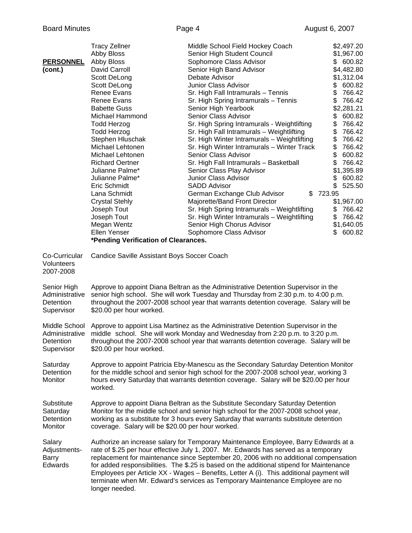| <b>PERSONNEL</b><br>(cont.)                              | <b>Tracy Zellner</b><br>Abby Bloss<br>Abby Bloss<br>David Carroll<br>Scott DeLong<br>Scott DeLong<br><b>Renee Evans</b><br>Renee Evans<br><b>Babette Guss</b><br>Michael Hammond<br><b>Todd Herzog</b><br><b>Todd Herzog</b><br>Stephen Hluschak<br>Michael Lehtonen<br>Michael Lehtonen<br><b>Richard Oertner</b><br>Julianne Palme*<br>Julianne Palme*<br>Eric Schmidt<br>Lana Schmidt<br><b>Crystal Stehly</b><br>Joseph Tout<br>Joseph Tout<br>Megan Wentz<br>Ellen Yenser<br>*Pending Verification of Clearances. | Middle School Field Hockey Coach<br>Senior High Student Council<br>Sophomore Class Advisor<br>Senior High Band Advisor<br>Debate Advisor<br>Junior Class Advisor<br>Sr. High Fall Intramurals - Tennis<br>Sr. High Spring Intramurals - Tennis<br>Senior High Yearbook<br>Senior Class Advisor<br>Sr. High Spring Intramurals - Weightlifting<br>Sr. High Fall Intramurals - Weightlifting<br>Sr. High Winter Intramurals - Weightlifting<br>Sr. High Winter Intramurals - Winter Track<br>Senior Class Advisor<br>Sr. High Fall Intramurals - Basketball<br>Senior Class Play Advisor<br>Junior Class Advisor<br><b>SADD Advisor</b><br>German Exchange Club Advisor<br>\$<br>Majorette/Band Front Director<br>Sr. High Spring Intramurals - Weightlifting<br>Sr. High Winter Intramurals - Weightlifting<br>Senior High Chorus Advisor<br>Sophomore Class Advisor | \$2,497.20<br>\$1,967.00<br>\$600.82<br>\$4,482.80<br>\$1,312.04<br>\$<br>600.82<br>\$<br>766.42<br>\$<br>766.42<br>\$2,281.21<br>\$<br>600.82<br>\$<br>766.42<br>\$<br>766.42<br>\$<br>766.42<br>\$<br>766.42<br>\$<br>600.82<br>\$<br>766.42<br>\$1,395.89<br>600.82<br>\$<br>\$<br>525.50<br>723.95<br>\$1,967.00<br>\$<br>766.42<br>\$<br>766.42<br>\$1,640.05<br>600.82<br>\$. |
|----------------------------------------------------------|------------------------------------------------------------------------------------------------------------------------------------------------------------------------------------------------------------------------------------------------------------------------------------------------------------------------------------------------------------------------------------------------------------------------------------------------------------------------------------------------------------------------|---------------------------------------------------------------------------------------------------------------------------------------------------------------------------------------------------------------------------------------------------------------------------------------------------------------------------------------------------------------------------------------------------------------------------------------------------------------------------------------------------------------------------------------------------------------------------------------------------------------------------------------------------------------------------------------------------------------------------------------------------------------------------------------------------------------------------------------------------------------------|-------------------------------------------------------------------------------------------------------------------------------------------------------------------------------------------------------------------------------------------------------------------------------------------------------------------------------------------------------------------------------------|
| Co-Curricular<br>Volunteers<br>2007-2008                 | Candice Saville Assistant Boys Soccer Coach                                                                                                                                                                                                                                                                                                                                                                                                                                                                            |                                                                                                                                                                                                                                                                                                                                                                                                                                                                                                                                                                                                                                                                                                                                                                                                                                                                     |                                                                                                                                                                                                                                                                                                                                                                                     |
| Senior High<br>Administrative<br>Detention<br>Supervisor | \$20.00 per hour worked.                                                                                                                                                                                                                                                                                                                                                                                                                                                                                               | Approve to appoint Diana Beltran as the Administrative Detention Supervisor in the<br>senior high school. She will work Tuesday and Thursday from 2:30 p.m. to 4:00 p.m.<br>throughout the 2007-2008 school year that warrants detention coverage. Salary will be                                                                                                                                                                                                                                                                                                                                                                                                                                                                                                                                                                                                   |                                                                                                                                                                                                                                                                                                                                                                                     |
| Middle School<br>Detention<br>Supervisor                 | Approve to appoint Lisa Martinez as the Administrative Detention Supervisor in the<br>Administrative middle school. She will work Monday and Wednesday from 2:20 p.m. to 3:20 p.m.<br>throughout the 2007-2008 school year that warrants detention coverage. Salary will be<br>\$20.00 per hour worked.                                                                                                                                                                                                                |                                                                                                                                                                                                                                                                                                                                                                                                                                                                                                                                                                                                                                                                                                                                                                                                                                                                     |                                                                                                                                                                                                                                                                                                                                                                                     |
| Saturday<br>Detention<br>Monitor                         | Approve to appoint Patricia Eby-Manescu as the Secondary Saturday Detention Monitor<br>for the middle school and senior high school for the 2007-2008 school year, working 3<br>hours every Saturday that warrants detention coverage. Salary will be \$20.00 per hour<br>worked.                                                                                                                                                                                                                                      |                                                                                                                                                                                                                                                                                                                                                                                                                                                                                                                                                                                                                                                                                                                                                                                                                                                                     |                                                                                                                                                                                                                                                                                                                                                                                     |
| Substitute<br>Saturday<br>Detention<br>Monitor           | coverage. Salary will be \$20.00 per hour worked.                                                                                                                                                                                                                                                                                                                                                                                                                                                                      | Approve to appoint Diana Beltran as the Substitute Secondary Saturday Detention<br>Monitor for the middle school and senior high school for the 2007-2008 school year,<br>working as a substitute for 3 hours every Saturday that warrants substitute detention                                                                                                                                                                                                                                                                                                                                                                                                                                                                                                                                                                                                     |                                                                                                                                                                                                                                                                                                                                                                                     |
| Salary<br>Adjustments-<br>Barry<br>Edwards               | longer needed.                                                                                                                                                                                                                                                                                                                                                                                                                                                                                                         | Authorize an increase salary for Temporary Maintenance Employee, Barry Edwards at a<br>rate of \$.25 per hour effective July 1, 2007. Mr. Edwards has served as a temporary<br>replacement for maintenance since September 20, 2006 with no additional compensation<br>for added responsibilities. The \$.25 is based on the additional stipend for Maintenance<br>Employees per Article XX - Wages - Benefits, Letter A (i). This additional payment will<br>terminate when Mr. Edward's services as Temporary Maintenance Employee are no                                                                                                                                                                                                                                                                                                                         |                                                                                                                                                                                                                                                                                                                                                                                     |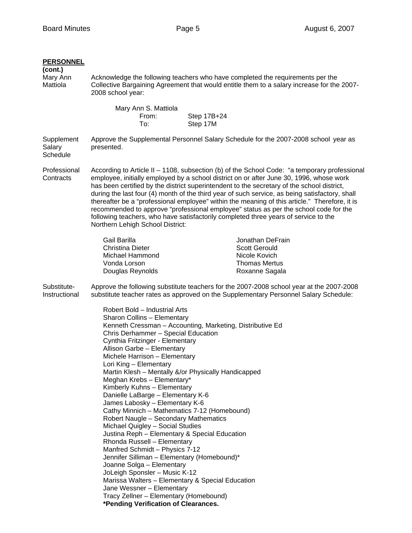| <b>PERSONNEL</b><br>(cont.)<br>Mary Ann<br>Mattiola | Acknowledge the following teachers who have completed the requirements per the<br>Collective Bargaining Agreement that would entitle them to a salary increase for the 2007-<br>2008 school year:                                                                                                                                                                                                                                                                                                                                                                                                                                                                                                                                                                                                                                                                                                                                                                                                                      |                         |                                                                                                                                                                                  |
|-----------------------------------------------------|------------------------------------------------------------------------------------------------------------------------------------------------------------------------------------------------------------------------------------------------------------------------------------------------------------------------------------------------------------------------------------------------------------------------------------------------------------------------------------------------------------------------------------------------------------------------------------------------------------------------------------------------------------------------------------------------------------------------------------------------------------------------------------------------------------------------------------------------------------------------------------------------------------------------------------------------------------------------------------------------------------------------|-------------------------|----------------------------------------------------------------------------------------------------------------------------------------------------------------------------------|
|                                                     | Mary Ann S. Mattiola<br>From:<br>To:                                                                                                                                                                                                                                                                                                                                                                                                                                                                                                                                                                                                                                                                                                                                                                                                                                                                                                                                                                                   | Step 17B+24<br>Step 17M |                                                                                                                                                                                  |
| Supplement<br>Salary<br>Schedule                    | presented.                                                                                                                                                                                                                                                                                                                                                                                                                                                                                                                                                                                                                                                                                                                                                                                                                                                                                                                                                                                                             |                         | Approve the Supplemental Personnel Salary Schedule for the 2007-2008 school year as                                                                                              |
| Professional<br>Contracts                           | According to Article II - 1108, subsection (b) of the School Code: "a temporary professional<br>employee, initially employed by a school district on or after June 30, 1996, whose work<br>has been certified by the district superintendent to the secretary of the school district,<br>during the last four (4) month of the third year of such service, as being satisfactory, shall<br>thereafter be a "professional employee" within the meaning of this article." Therefore, it is<br>recommended to approve "professional employee" status as per the school code for the<br>following teachers, who have satisfactorily completed three years of service to the<br>Northern Lehigh School District:                                                                                                                                                                                                                                                                                                            |                         |                                                                                                                                                                                  |
|                                                     | Gail Barilla<br><b>Christina Dieter</b><br>Michael Hammond<br>Vonda Lorson<br>Douglas Reynolds                                                                                                                                                                                                                                                                                                                                                                                                                                                                                                                                                                                                                                                                                                                                                                                                                                                                                                                         |                         | Jonathan DeFrain<br><b>Scott Gerould</b><br>Nicole Kovich<br><b>Thomas Mertus</b><br>Roxanne Sagala                                                                              |
| Substitute-<br>Instructional                        |                                                                                                                                                                                                                                                                                                                                                                                                                                                                                                                                                                                                                                                                                                                                                                                                                                                                                                                                                                                                                        |                         | Approve the following substitute teachers for the 2007-2008 school year at the 2007-2008<br>substitute teacher rates as approved on the Supplementary Personnel Salary Schedule: |
|                                                     | Robert Bold - Industrial Arts<br>Sharon Collins - Elementary<br>Kenneth Cressman - Accounting, Marketing, Distributive Ed<br>Chris Derhammer - Special Education<br>Cynthia Fritzinger - Elementary<br>Allison Garbe - Elementary<br>Michele Harrison - Elementary<br>Lori King - Elementary<br>Martin Klesh - Mentally &/or Physically Handicapped<br>Meghan Krebs - Elementary*<br>Kimberly Kuhns - Elementary<br>Danielle LaBarge - Elementary K-6<br>James Labosky - Elementary K-6<br>Cathy Minnich - Mathematics 7-12 (Homebound)<br>Robert Naugle - Secondary Mathematics<br>Michael Quigley - Social Studies<br>Justina Reph - Elementary & Special Education<br>Rhonda Russell - Elementary<br>Manfred Schmidt - Physics 7-12<br>Jennifer Silliman - Elementary (Homebound)*<br>Joanne Solga - Elementary<br>JoLeigh Sponsler - Music K-12<br>Marissa Walters - Elementary & Special Education<br>Jane Wessner - Elementary<br>Tracy Zellner - Elementary (Homebound)<br>*Pending Verification of Clearances. |                         |                                                                                                                                                                                  |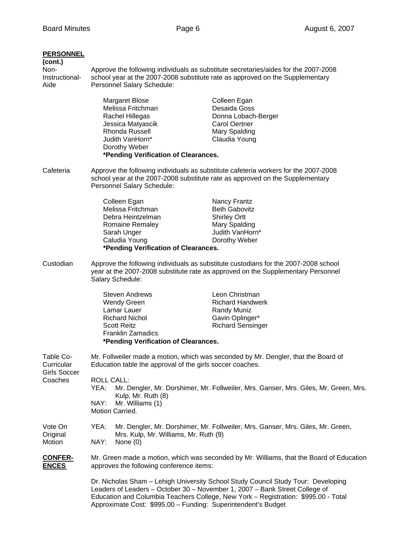# **PERSONNEL (cont.)**  Non- Approve the following individuals as substitute secretaries/aides for the 2007-2008 Instructional- school year at the 2007-2008 substitute rate as approved on the Supplementary Aide **Personnel Salary Schedule:** Margaret Blose Colleen Egan Melissa Fritchman Desaida Goss Rachel Hillegas Donna Lobach-Berger Jessica Matyascik Carol Oertner Rhonda Russell Mary Spalding Judith VanHorn\* Claudia Young Dorothy Weber **\*Pending Verification of Clearances.**  Cafeteria Approve the following individuals as substitute cafeteria workers for the 2007-2008 school year at the 2007-2008 substitute rate as approved on the Supplementary Personnel Salary Schedule: Colleen Egan Nancy Frantz Melissa Fritchman Beth Gabovitz Debra Heintzelman Shirley Ortt Romaine Remaley Mary Spalding Sarah Unger **Judith VanHorn**\* Caludia Young **Dorothy Weber \*Pending Verification of Clearances.** Custodian Approve the following individuals as substitute custodians for the 2007-2008 school year at the 2007-2008 substitute rate as approved on the Supplementary Personnel Salary Schedule: Steven Andrews Leon Christman Wendy Green **Richard Handwerk** Lamar Lauer **Randy Muniz** Richard Nichol Gavin Oplinger\* Scott Reitz **Richard Sensinger**  Franklin Zamadics **\*Pending Verification of Clearances.**  Table Co- Mr. Follweiler made a motion, which was seconded by Mr. Dengler, that the Board of Curricular Education table the approval of the girls soccer coaches. Girls Soccer Coaches ROLL CALL: YEA: Mr. Dengler, Mr. Dorshimer, Mr. Follweiler, Mrs. Ganser, Mrs. Giles, Mr. Green, Mrs. Kulp, Mr. Ruth (8) NAY: Mr. Williams (1) Motion Carried. Vote On YEA: Mr. Dengler, Mr. Dorshimer, Mr. Follweiler, Mrs. Ganser, Mrs. Giles, Mr. Green, Original Mrs. Kulp, Mr. Williams, Mr. Ruth (9) Motion NAY: None (0) **CONFER-** Mr. Green made a motion, which was seconded by Mr. Williams, that the Board of Education **ENCES** approves the following conference items: Dr. Nicholas Sham – Lehigh University School Study Council Study Tour: Developing Leaders of Leaders – October 30 – November 1, 2007 – Bank Street College of Education and Columbia Teachers College, New York – Registration: \$995.00 - Total Approximate Cost: \$995.00 – Funding: Superintendent's Budget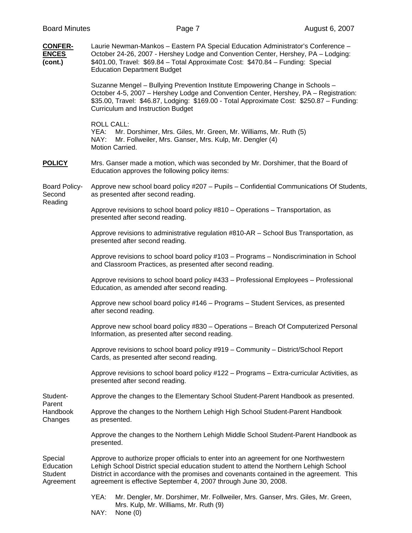| <b>Board Minutes</b>                                | Page 7                                                                                                                                                                                                                                                                                                                                       |                                                                                 | August 6, 2007 |  |
|-----------------------------------------------------|----------------------------------------------------------------------------------------------------------------------------------------------------------------------------------------------------------------------------------------------------------------------------------------------------------------------------------------------|---------------------------------------------------------------------------------|----------------|--|
| <b>CONFER-</b><br><b>ENCES</b><br>(cont.)           | Laurie Newman-Mankos - Eastern PA Special Education Administrator's Conference -<br>October 24-26, 2007 - Hershey Lodge and Convention Center, Hershey, PA - Lodging:<br>\$401.00, Travel: \$69.84 - Total Approximate Cost: \$470.84 - Funding: Special<br><b>Education Department Budget</b>                                               |                                                                                 |                |  |
|                                                     | Suzanne Mengel - Bullying Prevention Institute Empowering Change in Schools -<br>October 4-5, 2007 - Hershey Lodge and Convention Center, Hershey, PA - Registration:<br>\$35.00, Travel: \$46.87, Lodging: \$169.00 - Total Approximate Cost: \$250.87 - Funding:<br>Curriculum and Instruction Budget                                      |                                                                                 |                |  |
|                                                     | <b>ROLL CALL:</b><br>YEA:<br>NAY:<br>Mr. Follweiler, Mrs. Ganser, Mrs. Kulp, Mr. Dengler (4)<br>Motion Carried.                                                                                                                                                                                                                              | Mr. Dorshimer, Mrs. Giles, Mr. Green, Mr. Williams, Mr. Ruth (5)                |                |  |
| <b>POLICY</b>                                       | Mrs. Ganser made a motion, which was seconded by Mr. Dorshimer, that the Board of<br>Education approves the following policy items:                                                                                                                                                                                                          |                                                                                 |                |  |
| <b>Board Policy-</b><br>Second<br>Reading           | Approve new school board policy #207 - Pupils - Confidential Communications Of Students,<br>as presented after second reading.                                                                                                                                                                                                               |                                                                                 |                |  |
|                                                     | Approve revisions to school board policy #810 – Operations – Transportation, as<br>presented after second reading.                                                                                                                                                                                                                           |                                                                                 |                |  |
|                                                     | Approve revisions to administrative regulation #810-AR – School Bus Transportation, as<br>presented after second reading.                                                                                                                                                                                                                    |                                                                                 |                |  |
|                                                     | Approve revisions to school board policy #103 - Programs - Nondiscrimination in School<br>and Classroom Practices, as presented after second reading.                                                                                                                                                                                        |                                                                                 |                |  |
|                                                     | Approve revisions to school board policy #433 - Professional Employees - Professional<br>Education, as amended after second reading.                                                                                                                                                                                                         |                                                                                 |                |  |
|                                                     | Approve new school board policy #146 - Programs - Student Services, as presented<br>after second reading.                                                                                                                                                                                                                                    |                                                                                 |                |  |
|                                                     | Approve new school board policy #830 - Operations - Breach Of Computerized Personal<br>Information, as presented after second reading.                                                                                                                                                                                                       |                                                                                 |                |  |
|                                                     | Approve revisions to school board policy #919 - Community - District/School Report<br>Cards, as presented after second reading.                                                                                                                                                                                                              |                                                                                 |                |  |
|                                                     | Approve revisions to school board policy #122 - Programs - Extra-curricular Activities, as<br>presented after second reading.                                                                                                                                                                                                                |                                                                                 |                |  |
| Student-<br>Parent                                  | Approve the changes to the Elementary School Student-Parent Handbook as presented.                                                                                                                                                                                                                                                           |                                                                                 |                |  |
| Handbook<br>Changes                                 | Approve the changes to the Northern Lehigh High School Student-Parent Handbook<br>as presented.                                                                                                                                                                                                                                              |                                                                                 |                |  |
|                                                     | Approve the changes to the Northern Lehigh Middle School Student-Parent Handbook as<br>presented.                                                                                                                                                                                                                                            |                                                                                 |                |  |
| Special<br>Education<br><b>Student</b><br>Agreement | Approve to authorize proper officials to enter into an agreement for one Northwestern<br>Lehigh School District special education student to attend the Northern Lehigh School<br>District in accordance with the promises and covenants contained in the agreement. This<br>agreement is effective September 4, 2007 through June 30, 2008. |                                                                                 |                |  |
|                                                     | YEA:<br>Mrs. Kulp, Mr. Williams, Mr. Ruth (9)                                                                                                                                                                                                                                                                                                | Mr. Dengler, Mr. Dorshimer, Mr. Follweiler, Mrs. Ganser, Mrs. Giles, Mr. Green, |                |  |

NAY: None (0)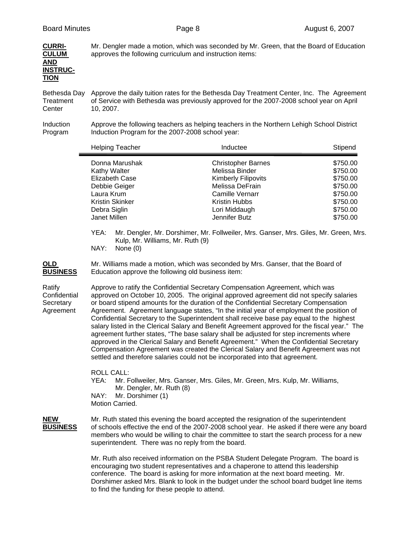| <b>CURRI-</b>   | Mr. Dengler made a motion, which was seconded by Mr. Green, that the Board of Education |
|-----------------|-----------------------------------------------------------------------------------------|
| <b>CULUM</b>    | approves the following curriculum and instruction items:                                |
| <b>AND</b>      |                                                                                         |
| <b>INSTRUC-</b> |                                                                                         |
| <b>TION</b>     |                                                                                         |
|                 |                                                                                         |

Bethesda Day Approve the daily tuition rates for the Bethesda Day Treatment Center, Inc. The Agreement Treatment of Service with Bethesda was previously approved for the 2007-2008 school year on April Center 10, 2007.

Induction Approve the following teachers as helping teachers in the Northern Lehigh School District Program Induction Program for the 2007-2008 school year:

|                                                                     | <b>Helping Teacher</b>                                                                                                                                                                                                                                                                                                                                                                                                                                                                                                                                                                                                                                                                                                                                                                                                                                                                                                                                                        | Inductee                                                                                                                                                                 | Stipend                                                                                      |
|---------------------------------------------------------------------|-------------------------------------------------------------------------------------------------------------------------------------------------------------------------------------------------------------------------------------------------------------------------------------------------------------------------------------------------------------------------------------------------------------------------------------------------------------------------------------------------------------------------------------------------------------------------------------------------------------------------------------------------------------------------------------------------------------------------------------------------------------------------------------------------------------------------------------------------------------------------------------------------------------------------------------------------------------------------------|--------------------------------------------------------------------------------------------------------------------------------------------------------------------------|----------------------------------------------------------------------------------------------|
|                                                                     | Donna Marushak<br>Kathy Walter<br><b>Elizabeth Case</b><br>Debbie Geiger<br>Laura Krum<br><b>Kristin Skinker</b><br>Debra Siglin<br>Janet Millen                                                                                                                                                                                                                                                                                                                                                                                                                                                                                                                                                                                                                                                                                                                                                                                                                              | <b>Christopher Barnes</b><br>Melissa Binder<br><b>Kimberly Filipovits</b><br>Melissa DeFrain<br>Camille Vernarr<br>Kristin Hubbs<br>Lori Middaugh<br>Jennifer Butz       | \$750.00<br>\$750.00<br>\$750.00<br>\$750.00<br>\$750.00<br>\$750.00<br>\$750.00<br>\$750.00 |
| <b>OLD</b>                                                          | YEA:<br>Kulp, Mr. Williams, Mr. Ruth (9)<br>NAY:<br>None $(0)$                                                                                                                                                                                                                                                                                                                                                                                                                                                                                                                                                                                                                                                                                                                                                                                                                                                                                                                | Mr. Dengler, Mr. Dorshimer, Mr. Follweiler, Mrs. Ganser, Mrs. Giles, Mr. Green, Mrs.<br>Mr. Williams made a motion, which was seconded by Mrs. Ganser, that the Board of |                                                                                              |
| <b>BUSINESS</b><br>Ratify<br>Confidential<br>Secretary<br>Agreement | Education approve the following old business item:<br>Approve to ratify the Confidential Secretary Compensation Agreement, which was<br>approved on October 10, 2005. The original approved agreement did not specify salaries<br>or board stipend amounts for the duration of the Confidential Secretary Compensation<br>Agreement. Agreement language states, "In the initial year of employment the position of<br>Confidential Secretary to the Superintendent shall receive base pay equal to the highest<br>salary listed in the Clerical Salary and Benefit Agreement approved for the fiscal year." The<br>agreement further states, "The base salary shall be adjusted for step increments where<br>approved in the Clerical Salary and Benefit Agreement." When the Confidential Secretary<br>Compensation Agreement was created the Clerical Salary and Benefit Agreement was not<br>settled and therefore salaries could not be incorporated into that agreement. |                                                                                                                                                                          |                                                                                              |
|                                                                     | <b>ROLL CALL:</b><br>VEA: Mr. Follweiler Mrs. Copear Mrs. Ciles Mr. Croop Mrs. Kulp Mr. Williams                                                                                                                                                                                                                                                                                                                                                                                                                                                                                                                                                                                                                                                                                                                                                                                                                                                                              |                                                                                                                                                                          |                                                                                              |

 YEA: Mr. Follweiler, Mrs. Ganser, Mrs. Giles, Mr. Green, Mrs. Kulp, Mr. Williams, Mr. Dengler, Mr. Ruth (8)

- NAY: Mr. Dorshimer (1)
- Motion Carried.

**NEW** Mr. Ruth stated this evening the board accepted the resignation of the superintendent **BUSINESS** of schools effective the end of the 2007-2008 school year. He asked if there were any board members who would be willing to chair the committee to start the search process for a new superintendent. There was no reply from the board.

> Mr. Ruth also received information on the PSBA Student Delegate Program. The board is encouraging two student representatives and a chaperone to attend this leadership conference. The board is asking for more information at the next board meeting. Mr. Dorshimer asked Mrs. Blank to look in the budget under the school board budget line items to find the funding for these people to attend.